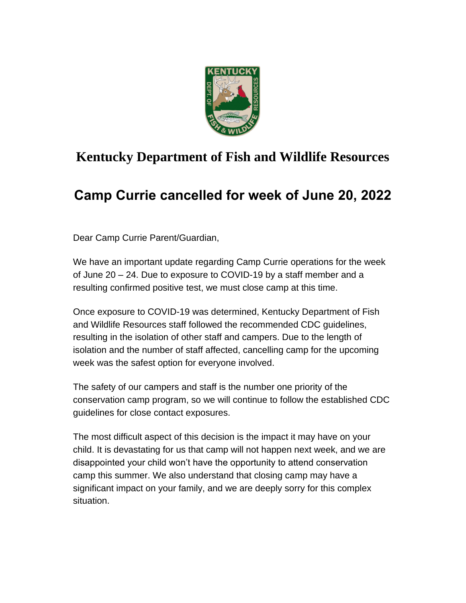

## **Kentucky Department of Fish and Wildlife Resources**

## **Camp Currie cancelled for week of June 20, 2022**

Dear Camp Currie Parent/Guardian,

We have an important update regarding Camp Currie operations for the week of June 20 – 24. Due to exposure to COVID-19 by a staff member and a resulting confirmed positive test, we must close camp at this time.

Once exposure to COVID-19 was determined, Kentucky Department of Fish and Wildlife Resources staff followed the recommended CDC guidelines, resulting in the isolation of other staff and campers. Due to the length of isolation and the number of staff affected, cancelling camp for the upcoming week was the safest option for everyone involved.

The safety of our campers and staff is the number one priority of the conservation camp program, so we will continue to follow the established CDC guidelines for close contact exposures.

The most difficult aspect of this decision is the impact it may have on your child. It is devastating for us that camp will not happen next week, and we are disappointed your child won't have the opportunity to attend conservation camp this summer. We also understand that closing camp may have a significant impact on your family, and we are deeply sorry for this complex situation.